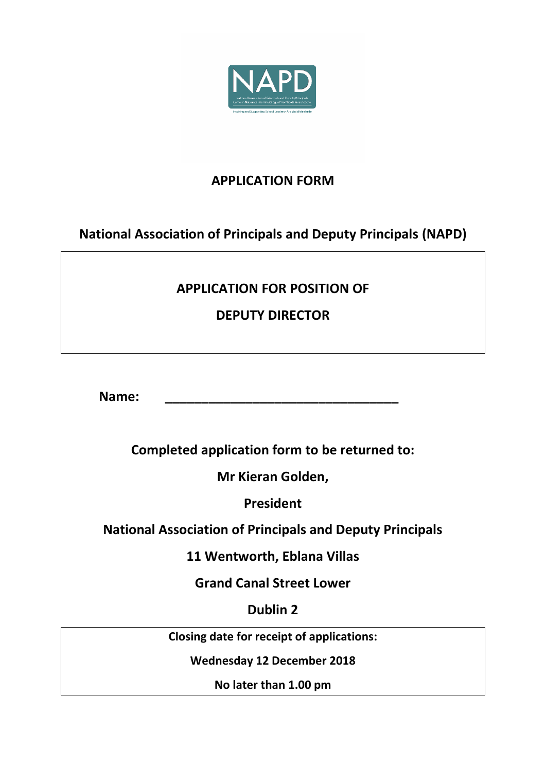

## **APPLICATION FORM**

**National Association of Principals and Deputy Principals (NAPD)**

# **APPLICATION FOR POSITION OF**

**DEPUTY DIRECTOR**

**Name: \_\_\_\_\_\_\_\_\_\_\_\_\_\_\_\_\_\_\_\_\_\_\_\_\_\_\_\_\_\_\_\_**

**Completed application form to be returned to:**

**Mr Kieran Golden,**

**President**

**National Association of Principals and Deputy Principals**

**11 Wentworth, Eblana Villas**

**Grand Canal Street Lower**

**Dublin 2**

**Closing date for receipt of applications:**

**Wednesday 12 December 2018**

**No later than 1.00 pm**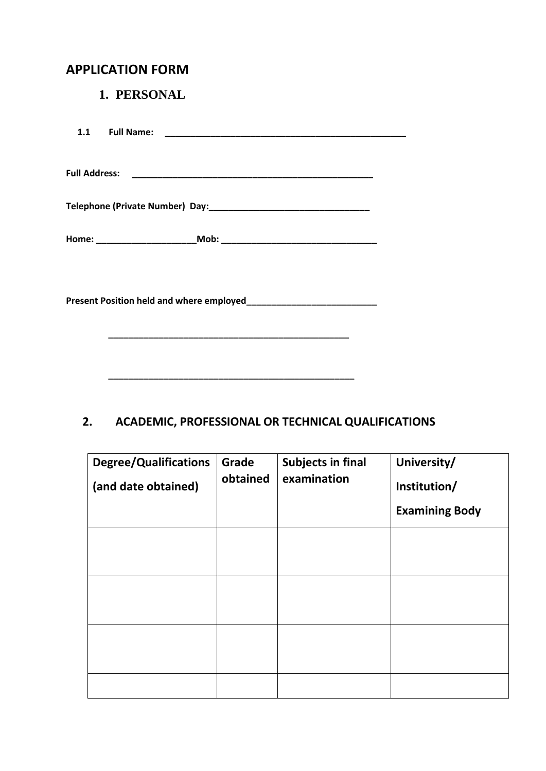### **APPLICATION FORM**

#### **1. PERSONAL**

## **2. ACADEMIC, PROFESSIONAL OR TECHNICAL QUALIFICATIONS**

 **\_\_\_\_\_\_\_\_\_\_\_\_\_\_\_\_\_\_\_\_\_\_\_\_\_\_\_\_\_\_\_\_\_\_\_\_\_\_\_\_\_\_\_\_\_\_\_\_\_**

| <b>Degree/Qualifications</b><br>(and date obtained) | Grade<br>obtained | <b>Subjects in final</b><br>examination | University/<br>Institution/<br><b>Examining Body</b> |
|-----------------------------------------------------|-------------------|-----------------------------------------|------------------------------------------------------|
|                                                     |                   |                                         |                                                      |
|                                                     |                   |                                         |                                                      |
|                                                     |                   |                                         |                                                      |
|                                                     |                   |                                         |                                                      |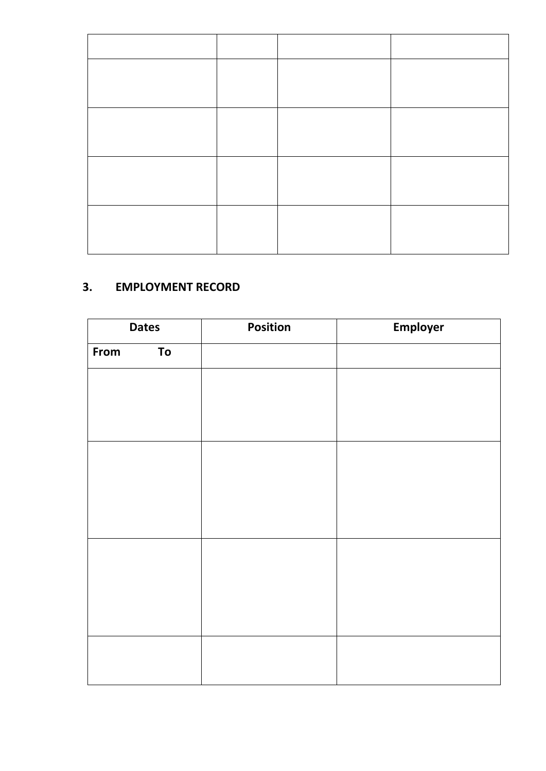#### **3. EMPLOYMENT RECORD**

| <b>Dates</b> | Position | Employer |
|--------------|----------|----------|
| From<br>To   |          |          |
|              |          |          |
|              |          |          |
|              |          |          |
|              |          |          |
|              |          |          |
|              |          |          |
|              |          |          |
|              |          |          |
|              |          |          |
|              |          |          |
|              |          |          |
|              |          |          |
|              |          |          |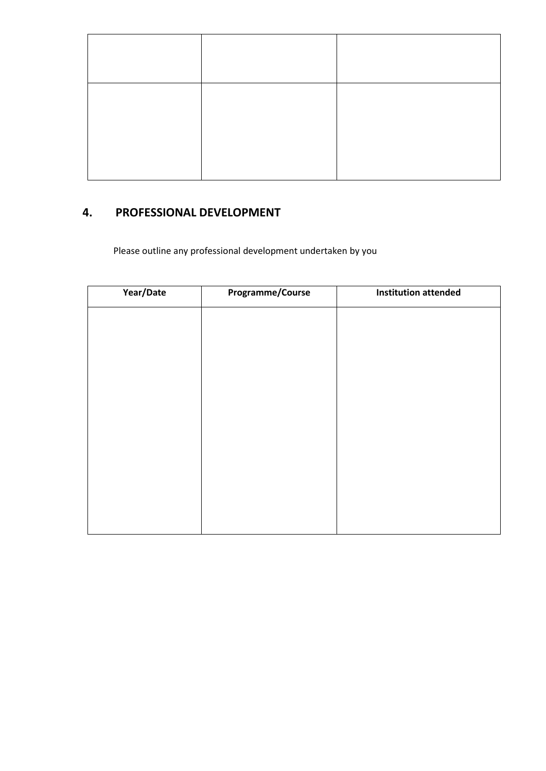#### **4. PROFESSIONAL DEVELOPMENT**

Please outline any professional development undertaken by you

| Year/Date | Programme/Course | <b>Institution attended</b> |
|-----------|------------------|-----------------------------|
|           |                  |                             |
|           |                  |                             |
|           |                  |                             |
|           |                  |                             |
|           |                  |                             |
|           |                  |                             |
|           |                  |                             |
|           |                  |                             |
|           |                  |                             |
|           |                  |                             |
|           |                  |                             |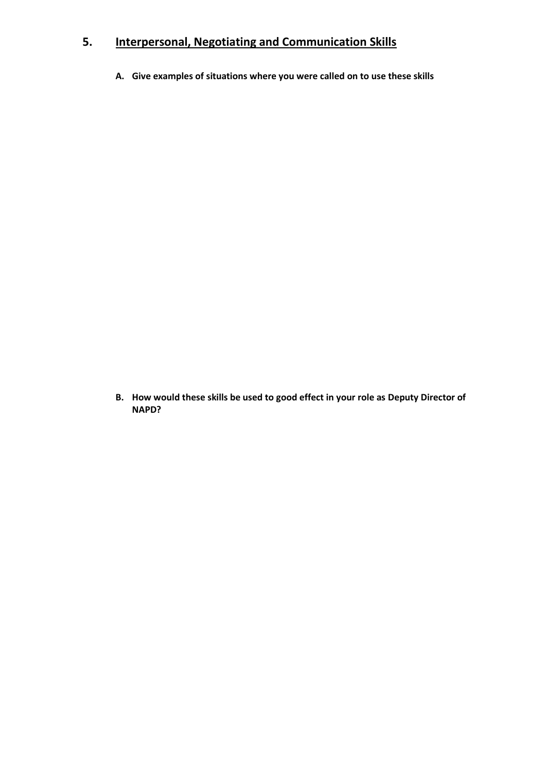### **5. Interpersonal, Negotiating and Communication Skills**

**A. Give examples of situations where you were called on to use these skills**

**B. How would these skills be used to good effect in your role as Deputy Director of NAPD?**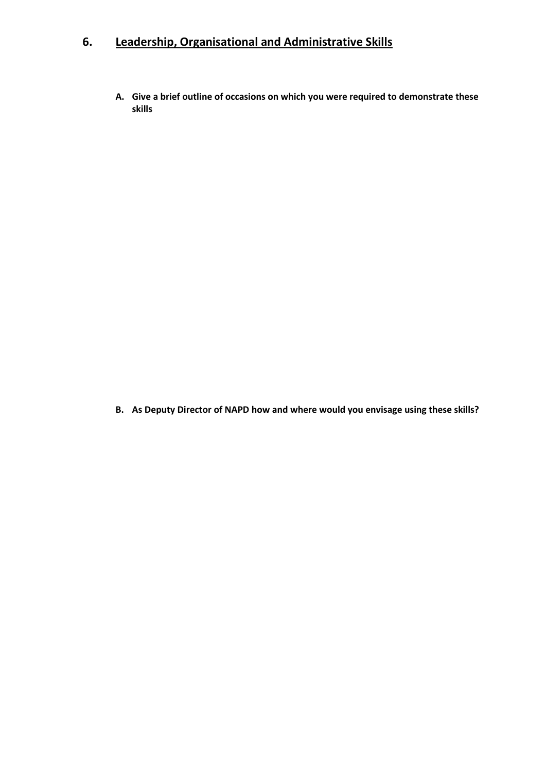## **6. Leadership, Organisational and Administrative Skills**

**A. Give a brief outline of occasions on which you were required to demonstrate these skills**

**B. As Deputy Director of NAPD how and where would you envisage using these skills?**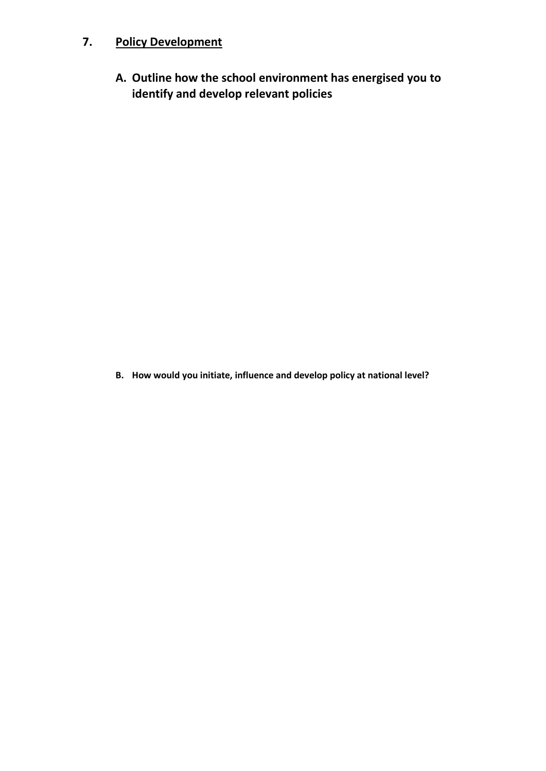## **7. Policy Development**

**A. Outline how the school environment has energised you to identify and develop relevant policies**

**B. How would you initiate, influence and develop policy at national level?**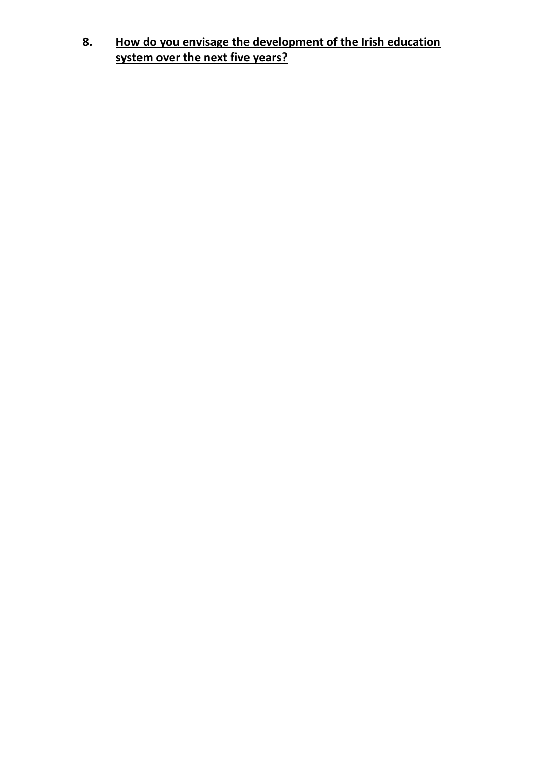**8. How do you envisage the development of the Irish education system over the next five years?**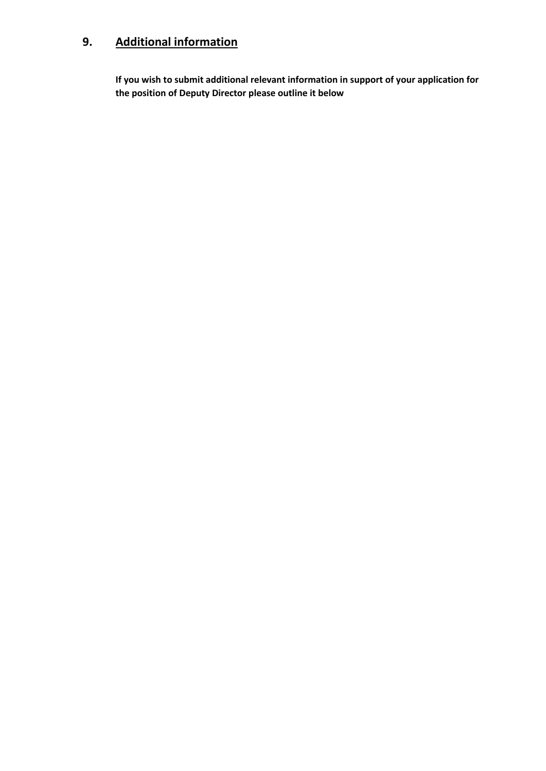# **9. Additional information**

**If you wish to submit additional relevant information in support of your application for the position of Deputy Director please outline it below**